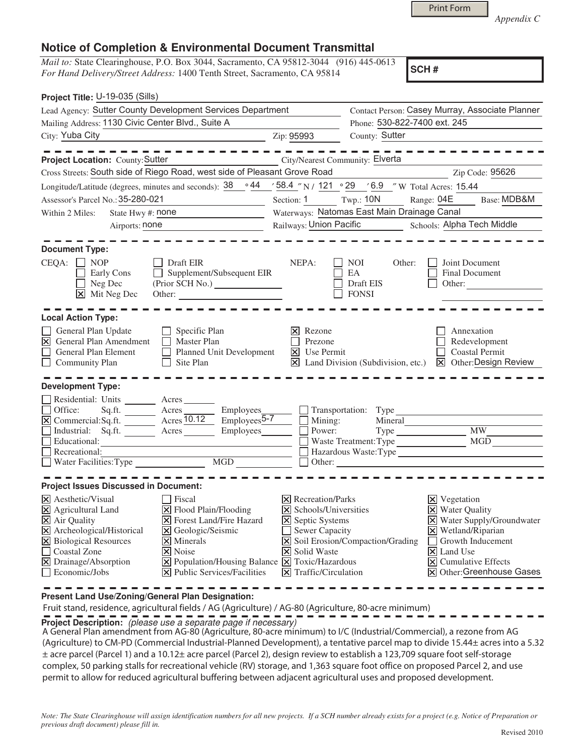|  | Print Form |  |
|--|------------|--|
|  |            |  |

*Appendix C* 

## **Notice of Completion & Environmental Document Transmittal**

*Mail to:* State Clearinghouse, P.O. Box 3044, Sacramento, CA 95812-3044 (916) 445-0613 *For Hand Delivery/Street Address:* 1400 Tenth Street, Sacramento, CA 95814

**SCH #**

| Project Title: U-19-035 (Sills)                                                                                                                                                                                                                                                                                                                                                                                                                                                              |                                                                                                                                                                                    |                                                                                                        |                                                                                                                                                                                                                       |  |
|----------------------------------------------------------------------------------------------------------------------------------------------------------------------------------------------------------------------------------------------------------------------------------------------------------------------------------------------------------------------------------------------------------------------------------------------------------------------------------------------|------------------------------------------------------------------------------------------------------------------------------------------------------------------------------------|--------------------------------------------------------------------------------------------------------|-----------------------------------------------------------------------------------------------------------------------------------------------------------------------------------------------------------------------|--|
| Lead Agency: Sutter County Development Services Department                                                                                                                                                                                                                                                                                                                                                                                                                                   |                                                                                                                                                                                    | Contact Person: Casey Murray, Associate Planner                                                        |                                                                                                                                                                                                                       |  |
| Mailing Address: 1130 Civic Center Blvd., Suite A                                                                                                                                                                                                                                                                                                                                                                                                                                            |                                                                                                                                                                                    |                                                                                                        | Phone: 530-822-7400 ext. 245                                                                                                                                                                                          |  |
| City: Yuba City                                                                                                                                                                                                                                                                                                                                                                                                                                                                              | Zip: 95993                                                                                                                                                                         | County: Sutter                                                                                         |                                                                                                                                                                                                                       |  |
| ---------                                                                                                                                                                                                                                                                                                                                                                                                                                                                                    |                                                                                                                                                                                    |                                                                                                        |                                                                                                                                                                                                                       |  |
| Project Location: County: Sutter                                                                                                                                                                                                                                                                                                                                                                                                                                                             |                                                                                                                                                                                    | City/Nearest Community: Elverta                                                                        |                                                                                                                                                                                                                       |  |
| Cross Streets: South side of Riego Road, west side of Pleasant Grove Road                                                                                                                                                                                                                                                                                                                                                                                                                    |                                                                                                                                                                                    |                                                                                                        | Zip Code: 95626                                                                                                                                                                                                       |  |
| Longitude/Latitude (degrees, minutes and seconds): $\frac{38}{94}$ $\frac{44}{984}$ $\frac{58.4}{9}$ $\frac{121}{9}$ $\frac{29}{9}$ $\frac{6.9}{9}$ $\frac{7}{9}$ W Total Acres: 15.44                                                                                                                                                                                                                                                                                                       |                                                                                                                                                                                    |                                                                                                        |                                                                                                                                                                                                                       |  |
| Assessor's Parcel No.: 35-280-021                                                                                                                                                                                                                                                                                                                                                                                                                                                            | Section: 1 Twp.: 10N                                                                                                                                                               |                                                                                                        | Range: 04E<br>Base: MDB&M                                                                                                                                                                                             |  |
| Within 2 Miles:<br>State Hwy #: none                                                                                                                                                                                                                                                                                                                                                                                                                                                         |                                                                                                                                                                                    | Waterways: Natomas East Main Drainage Canal                                                            |                                                                                                                                                                                                                       |  |
| Airports: none<br><u> 1990 - Johann Barbara, martin a</u>                                                                                                                                                                                                                                                                                                                                                                                                                                    | Railways: Union Pacific                                                                                                                                                            |                                                                                                        | Schools: Alpha Tech Middle                                                                                                                                                                                            |  |
| <b>Document Type:</b><br>$CEQA: \Box$<br><b>NOP</b><br>Draft EIR<br>Early Cons<br>Supplement/Subsequent EIR<br>$\mathbf{1}$<br>Neg Dec<br>$\overline{\mathsf{x}}$ Mit Neg Dec<br>Other:                                                                                                                                                                                                                                                                                                      | NEPA:                                                                                                                                                                              | NOI.<br>Other:<br>EA<br>Draft EIS<br><b>FONSI</b>                                                      | Joint Document<br>Final Document<br>Other:                                                                                                                                                                            |  |
| <b>Local Action Type:</b><br>General Plan Update<br>$\Box$ Specific Plan<br>$\triangleright$ General Plan Amendment<br>П.<br>Master Plan<br>П<br>$\Box$<br>General Plan Element<br>Planned Unit Development<br>$\Box$ Community Plan<br>Site Plan<br>$\mathsf{L}$                                                                                                                                                                                                                            | Rezone<br>Prezone<br>$\vert\overline{\mathsf{x}}\vert$ Use Permit<br>Ι×Ι                                                                                                           |                                                                                                        | Annexation<br>Redevelopment<br>Coastal Permit<br>Land Division (Subdivision, etc.) X Other: Design Review                                                                                                             |  |
| <b>Development Type:</b><br>Residential: Units _______ Acres__<br>Employees_<br>□ Office: Sq.ft. <u>Nexternal</u> Acres Nexternal Sq.ft. Nexternal Sq.ft. 10.12<br>$Employes \overline{5-7}$<br>Industrial: Sq.ft. Acres Employees<br>Educational:<br>$\Box$ Recreational:<br>MGD                                                                                                                                                                                                            | Power:                                                                                                                                                                             | Transportation: Type<br>Mining:<br>Mineral<br>Waste Treatment: Type<br>Hazardous Waste: Type<br>Other: | $\overline{\text{MW}}$<br>MGD                                                                                                                                                                                         |  |
| <b>Project Issues Discussed in Document:</b>                                                                                                                                                                                                                                                                                                                                                                                                                                                 |                                                                                                                                                                                    |                                                                                                        |                                                                                                                                                                                                                       |  |
| $\times$ Aesthetic/Visual<br>$ $ Fiscal<br>X Agricultural Land<br>X Flood Plain/Flooding<br>X Air Quality<br>X Forest Land/Fire Hazard<br>X Archeological/Historical<br>X Geologic/Seismic<br>X Biological Resources<br>$\times$ Minerals<br>□ Coastal Zone<br>$\vert\mathsf{x}\vert$ Noise<br>X Drainage/Absorption<br>$\boxed{\mathsf{X}}$ Population/Housing Balance $\boxed{\mathsf{X}}$ Toxic/Hazardous<br>$ \mathbf{\overline{X}} $ Public Services/Facilities<br>$\Box$ Economic/Jobs | $\times$ Recreation/Parks<br>$\triangleright$ Schools/Universities<br><b>X</b> Septic Systems<br>Sewer Capacity<br><b>X</b> Solid Waste<br>$ \mathbf{\nabla} $ Traffic/Circulation | X Soil Erosion/Compaction/Grading                                                                      | $\boxtimes$ Vegetation<br><b>X</b> Water Quality<br>X Water Supply/Groundwater<br>$\times$ Wetland/Riparian<br>Growth Inducement<br>X Land Use<br>$ \mathbf{\nabla} $ Cumulative Effects<br>X Other: Greenhouse Gases |  |

**Present Land Use/Zoning/General Plan Designation:**

Fruit stand, residence, agricultural fields / AG (Agriculture) / AG-80 (Agriculture, 80-acre minimum)

**Project Description:** (please use a separate page if necessary)

 A General Plan amendment from AG-80 (Agriculture, 80-acre minimum) to I/C (Industrial/Commercial), a rezone from AG (Agriculture) to CM-PD (Commercial Industrial-Planned Development), a tentative parcel map to divide 15.44± acres into a 5.32 ± acre parcel (Parcel 1) and a 10.12± acre parcel (Parcel 2), design review to establish a 123,709 square foot self-storage complex, 50 parking stalls for recreational vehicle (RV) storage, and 1,363 square foot office on proposed Parcel 2, and use permit to allow for reduced agricultural buffering between adjacent agricultural uses and proposed development.